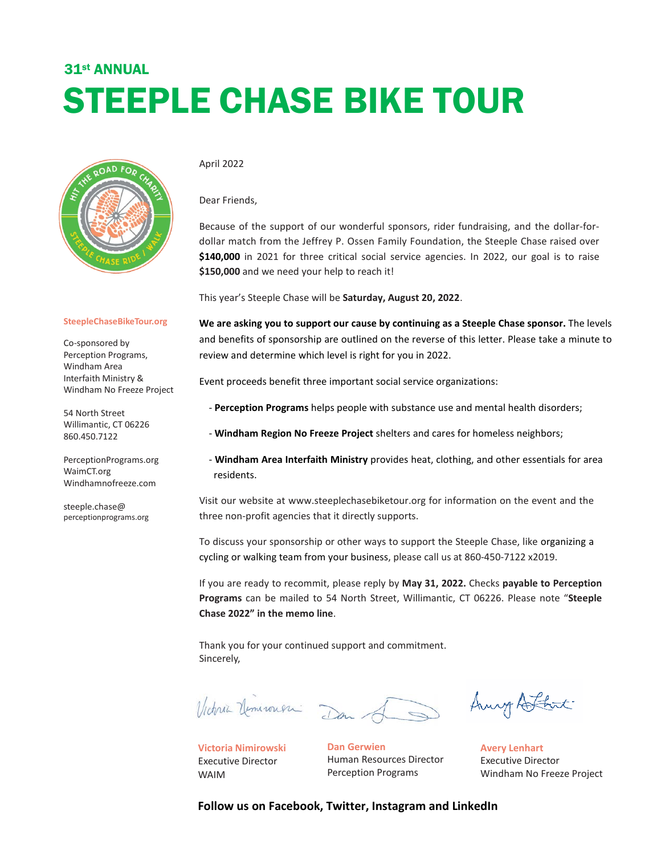# 31st ANNUAL STEEPLE CHASE BIKE TOUR



April 2022

Dear Friends,

Because of the support of our wonderful sponsors, rider fundraising, and the dollar-fordollar match from the Jeffrey P. Ossen Family Foundation, the Steeple Chase raised over \$140,000 in 2021 for three critical social service agencies. In 2022, our goal is to raise **\$150,000** and we need your help to reach it!

This year's Steeple Chase will be **Saturday, August 20, 2022**.

#### **SteepleChaseBikeTour.org**

Co-sponsored by Perception Programs, Windham Area Interfaith Ministry & Windham No Freeze Project

54 North Street Willimantic, CT 06226 860.450.7122

PerceptionPrograms.org WaimCT.org Windhamnofreeze.com

steeple.chase@ perceptionprograms.org **We are asking you to support our cause by continuing as a Steeple Chase sponsor.** The levels and benefits of sponsorship are outlined on the reverse of this letter. Please take a minute to review and determine which level is right for you in 2022.

Event proceeds benefit three important social service organizations:

- **Perception Programs** helps people with substance use and mental health disorders;

- **Windham Region No Freeze Project** shelters and cares for homeless neighbors;

- **Windham Area Interfaith Ministry** provides heat, clothing, and other essentials for area residents.

Visit our website [at www.steeplechasebiketour.org](http://www.steeplechasebiketour.org/) for information on the event and the three non-profit agencies that it directly supports.

To discuss your sponsorship or other ways to support the Steeple Chase, like organizing a cycling or walking team from your business, please call us at 860-450-7122 x2019.

If you are ready to recommit, please reply by **May 31, 2022.** Checks **payable to Perception Programs** can be mailed to 54 North Street, Willimantic, CT 06226. Please note "**Steeple Chase 2022" in the memo line**.

Thank you for your continued support and commitment. Sincerely,

Victoria Venironesi Dan

**Victoria Nimirowski**  Executive Director WAIM

**Dan Gerwien** Human Resources Director Perception Programs

Any Athat

**Avery Lenhart** Executive Director Windham No Freeze Project

#### **Follow us on Facebook, Twitter, Instagram and LinkedIn**